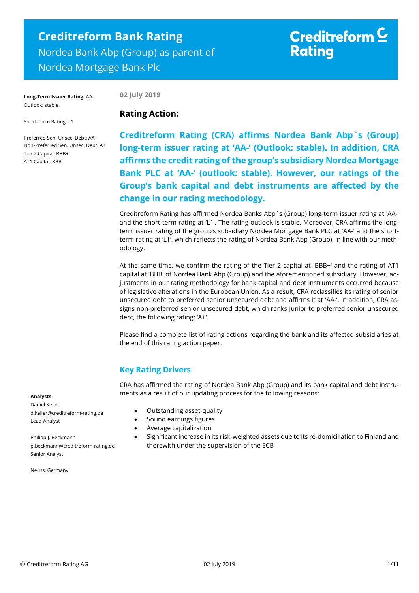# **Creditreform Bank Rating** Nordea Bank Abp (Group) as parent of Nordea Mortgage Bank Plc

# Creditreform  $\subseteq$ **Rating**

**Long-Term Issuer Rating:** AA-Outlook: stable

**02 July 2019**

**Rating Action:** 

Short-Term Rating: L1

Preferred Sen. Unsec. Debt: AA-Non-Preferred Sen. Unsec. Debt: A+ Tier 2 Capital: BBB+ AT1 Capital: BBB

**Creditreform Rating (CRA) affirms Nordea Bank Abp`s (Group) long-term issuer rating at 'AA-' (Outlook: stable). In addition, CRA affirms the credit rating of the group's subsidiary Nordea Mortgage Bank PLC at 'AA-' (outlook: stable). However, our ratings of the Group's bank capital and debt instruments are affected by the change in our rating methodology.**

Creditreform Rating has affirmed Nordea Banks Abp`s (Group) long-term issuer rating at 'AA-' and the short-term rating at 'L1'. The rating outlook is stable. Moreover, CRA affirms the longterm issuer rating of the group's subsidiary Nordea Mortgage Bank PLC at 'AA-' and the shortterm rating at 'L1', which reflects the rating of Nordea Bank Abp (Group), in line with our methodology.

At the same time, we confirm the rating of the Tier 2 capital at 'BBB+' and the rating of AT1 capital at 'BBB' of Nordea Bank Abp (Group) and the aforementioned subsidiary. However, adjustments in our rating methodology for bank capital and debt instruments occurred because of legislative alterations in the European Union. As a result, CRA reclassifies its rating of senior unsecured debt to preferred senior unsecured debt and affirms it at 'AA-'. In addition, CRA assigns non-preferred senior unsecured debt, which ranks junior to preferred senior unsecured debt, the following rating: 'A+'.

Please find a complete list of rating actions regarding the bank and its affected subsidiaries at the end of this rating action paper.

# **Key Rating Drivers**

CRA has affirmed the rating of Nordea Bank Abp (Group) and its bank capital and debt instruments as a result of our updating process for the following reasons:

## **Analysts**

Daniel Keller d.keller@creditreform-rating.de Lead-Analyst

Philipp J. Beckmann p.beckmann@creditreform-rating.de Senior Analyst

Neuss, Germany

- Outstanding asset-quality
- Sound earnings figures
- Average capitalization
- Significant increase in its risk-weighted assets due to its re-domiciliation to Finland and therewith under the supervision of the ECB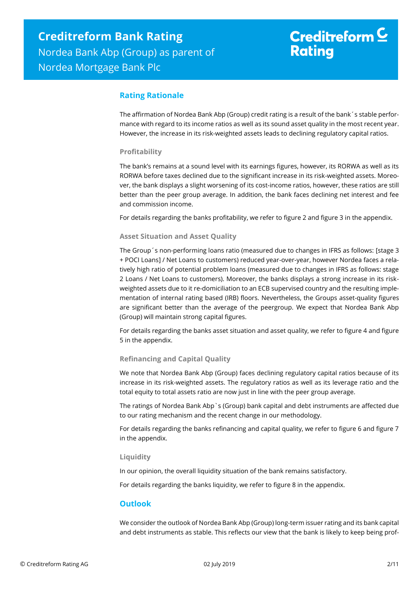# **Rating Rationale**

The affirmation of Nordea Bank Abp (Group) credit rating is a result of the bank´s stable performance with regard to its income ratios as well as its sound asset quality in the most recent year. However, the increase in its risk-weighted assets leads to declining regulatory capital ratios.

## **Profitability**

The bank's remains at a sound level with its earnings figures, however, its RORWA as well as its RORWA before taxes declined due to the significant increase in its risk-weighted assets. Moreover, the bank displays a slight worsening of its cost-income ratios, however, these ratios are still better than the peer group average. In addition, the bank faces declining net interest and fee and commission income.

For details regarding the banks profitability, we refer to figure 2 and figure 3 in the appendix.

## **Asset Situation and Asset Quality**

The Group´s non-performing loans ratio (measured due to changes in IFRS as follows: [stage 3 + POCI Loans] / Net Loans to customers) reduced year-over-year, however Nordea faces a relatively high ratio of potential problem loans (measured due to changes in IFRS as follows: stage 2 Loans / Net Loans to customers). Moreover, the banks displays a strong increase in its riskweighted assets due to it re-domiciliation to an ECB supervised country and the resulting implementation of internal rating based (IRB) floors. Nevertheless, the Groups asset-quality figures are significant better than the average of the peergroup. We expect that Nordea Bank Abp (Group) will maintain strong capital figures.

For details regarding the banks asset situation and asset quality, we refer to figure 4 and figure 5 in the appendix.

## **Refinancing and Capital Quality**

We note that Nordea Bank Abp (Group) faces declining regulatory capital ratios because of its increase in its risk-weighted assets. The regulatory ratios as well as its leverage ratio and the total equity to total assets ratio are now just in line with the peer group average.

The ratings of Nordea Bank Abp`s (Group) bank capital and debt instruments are affected due to our rating mechanism and the recent change in our methodology.

For details regarding the banks refinancing and capital quality, we refer to figure 6 and figure 7 in the appendix.

## **Liquidity**

In our opinion, the overall liquidity situation of the bank remains satisfactory.

For details regarding the banks liquidity, we refer to figure 8 in the appendix.

# **Outlook**

We consider the outlook of Nordea Bank Abp (Group) long-term issuer rating and its bank capital and debt instruments as stable. This reflects our view that the bank is likely to keep being prof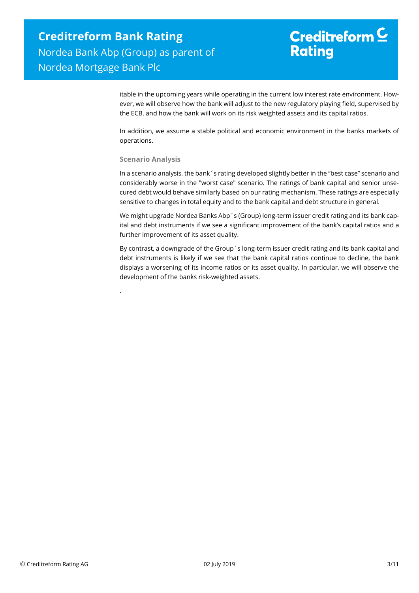.

# Creditreform  $\mathsf{\underline{C}}$ **Rating**

itable in the upcoming years while operating in the current low interest rate environment. However, we will observe how the bank will adjust to the new regulatory playing field, supervised by the ECB, and how the bank will work on its risk weighted assets and its capital ratios.

In addition, we assume a stable political and economic environment in the banks markets of operations.

## **Scenario Analysis**

In a scenario analysis, the bank´s rating developed slightly better in the "best case" scenario and considerably worse in the "worst case" scenario. The ratings of bank capital and senior unsecured debt would behave similarly based on our rating mechanism. These ratings are especially sensitive to changes in total equity and to the bank capital and debt structure in general.

We might upgrade Nordea Banks Abp`s (Group) long-term issuer credit rating and its bank capital and debt instruments if we see a significant improvement of the bank's capital ratios and a further improvement of its asset quality.

By contrast, a downgrade of the Group`s long-term issuer credit rating and its bank capital and debt instruments is likely if we see that the bank capital ratios continue to decline, the bank displays a worsening of its income ratios or its asset quality. In particular, we will observe the development of the banks risk-weighted assets.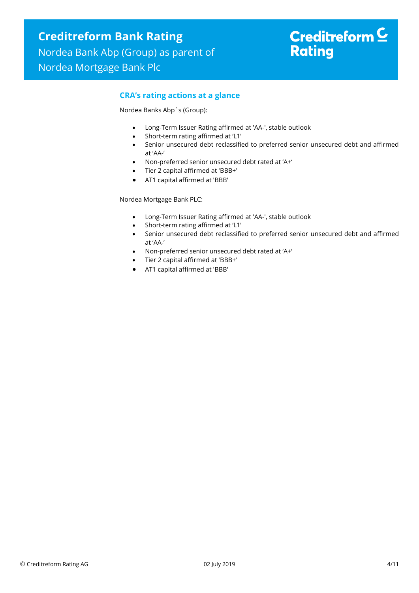# Creditreform  $C$ **Rating**

# **CRA's rating actions at a glance**

Nordea Banks Abp`s (Group):

- Long-Term Issuer Rating affirmed at 'AA-', stable outlook
- Short-term rating affirmed at 'L1'
- Senior unsecured debt reclassified to preferred senior unsecured debt and affirmed at 'AA-'
- Non-preferred senior unsecured debt rated at 'A+'
- Tier 2 capital affirmed at 'BBB+'
- AT1 capital affirmed at 'BBB'

Nordea Mortgage Bank PLC:

- Long-Term Issuer Rating affirmed at 'AA-', stable outlook
- Short-term rating affirmed at 'L1'
- Senior unsecured debt reclassified to preferred senior unsecured debt and affirmed at 'AA-'
- Non-preferred senior unsecured debt rated at 'A+'
- Tier 2 capital affirmed at 'BBB+'
- AT1 capital affirmed at 'BBB'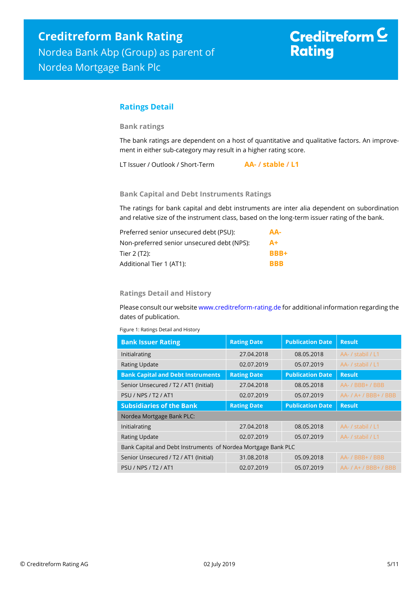# **Ratings Detail**

**Bank ratings**

The bank ratings are dependent on a host of quantitative and qualitative factors. An improvement in either sub-category may result in a higher rating score.

LT Issuer / Outlook / Short-Term **AA- / stable / L1**

## **Bank Capital and Debt Instruments Ratings**

The ratings for bank capital and debt instruments are inter alia dependent on subordination and relative size of the instrument class, based on the long-term issuer rating of the bank.

| Preferred senior unsecured debt (PSU):     | AA-         |
|--------------------------------------------|-------------|
| Non-preferred senior unsecured debt (NPS): | $A+$        |
| Tier 2 (T2):                               | <b>BBB+</b> |
| Additional Tier 1 (AT1):                   | <b>BBB</b>  |

## **Ratings Detail and History**

Please consult our websit[e www.creditreform-rating.de](http://www.creditreform-rating.de/) for additional information regarding the dates of publication.

Figure 1: Ratings Detail and History

| <b>Bank Issuer Rating</b>                                     | <b>Rating Date</b> | <b>Publication Date</b> | <b>Result</b>                 |
|---------------------------------------------------------------|--------------------|-------------------------|-------------------------------|
| Initialrating                                                 | 27.04.2018         | 08.05.2018              | AA- / stabil / L1             |
| <b>Rating Update</b>                                          | 02.07.2019         | 05.07.2019              | AA- / stabil / L1             |
| <b>Bank Capital and Debt Instruments</b>                      | <b>Rating Date</b> | <b>Publication Date</b> | <b>Result</b>                 |
| Senior Unsecured / T2 / AT1 (Initial)                         | 27.04.2018         | 08.05.2018              | $AA - / BBB + / BBB$          |
| <b>PSU / NPS / T2 / AT1</b>                                   | 02.07.2019         | 05.07.2019              | $AA-$ / $A+$ / $BBB+$ / $BBB$ |
| <b>Subsidiaries of the Bank</b>                               | <b>Rating Date</b> | <b>Publication Date</b> | <b>Result</b>                 |
| Nordea Mortgage Bank PLC:                                     |                    |                         |                               |
| Initialrating                                                 | 27.04.2018         | 08.05.2018              | AA- / stabil / L1             |
| <b>Rating Update</b>                                          | 02.07.2019         | 05.07.2019              | AA- / stabil / L1             |
| Bank Capital and Debt Instruments of Nordea Mortgage Bank PLC |                    |                         |                               |
| Senior Unsecured / T2 / AT1 (Initial)                         | 31.08.2018         | 05.09.2018              | $AA - / BBB + / BBB$          |
| <b>PSU / NPS / T2 / AT1</b>                                   | 02.07.2019         | 05.07.2019              | $AA - / A + / BBB + / BBB$    |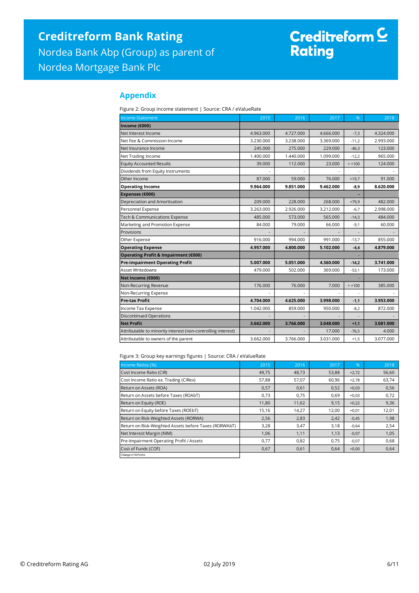# Creditreform <sup>C</sup><br>Rating

# **Appendix**

Figure 2: Group income statement | Source: CRA / eValueRate

| <b>Income Statement</b>                                      | 2015      | 2016      | 2017      | %              | 2018      |
|--------------------------------------------------------------|-----------|-----------|-----------|----------------|-----------|
| Income (€000)                                                |           |           |           |                |           |
| Net Interest Income                                          | 4.963.000 | 4.727.000 | 4.666.000 | $-7,3$         | 4.324.000 |
| Net Fee & Commission Income                                  | 3.230.000 | 3.238.000 | 3.369.000 | $-11,2$        | 2.993.000 |
| Net Insurance Income                                         | 245.000   | 275.000   | 229.000   | $-46,3$        | 123.000   |
| Net Trading Income                                           | 1.400.000 | 1.440.000 | 1.099.000 | $-12,2$        | 965.000   |
| <b>Equity Accounted Results</b>                              | 39.000    | 112.000   | 23.000    | $> +100$       | 124.000   |
| Dividends from Equity Instruments                            |           |           |           |                |           |
| Other Income                                                 | 87,000    | 59.000    | 76.000    | $+19,7$        | 91.000    |
| <b>Operating Income</b>                                      | 9.964.000 | 9.851.000 | 9.462.000 | $-8,9$         | 8.620.000 |
| Expenses (€000)                                              |           |           |           |                |           |
| Depreciation and Amortisation                                | 209,000   | 228,000   | 268,000   | $+79,9$        | 482.000   |
| Personnel Expense                                            | 3.263.000 | 2.926.000 | 3.212.000 | $-6,7$         | 2.998.000 |
| Tech & Communications Expense                                | 485.000   | 573.000   | 565.000   | $-14,3$        | 484.000   |
| Marketing and Promotion Expense                              | 84.000    | 79.000    | 66.000    | $-9,1$         | 60.000    |
| Provisions                                                   |           |           |           |                |           |
| Other Expense                                                | 916.000   | 994.000   | 991.000   | $-13,7$        | 855,000   |
| <b>Operating Expense</b>                                     | 4.957.000 | 4.800.000 | 5.102.000 | $-4,4$         | 4.879.000 |
| Operating Profit & Impairment (€000)                         |           |           |           |                |           |
| <b>Pre-impairment Operating Profit</b>                       | 5.007.000 | 5.051.000 | 4.360.000 | $-14,2$        | 3.741.000 |
| Asset Writedowns                                             | 479.000   | 502.000   | 369.000   | $-53,1$        | 173,000   |
| Net Income (€000)                                            |           |           |           |                |           |
| Non-Recurring Revenue                                        | 176.000   | 76.000    | 7.000     | $> +100$       | 385.000   |
| Non-Recurring Expense                                        |           |           |           |                |           |
| <b>Pre-tax Profit</b>                                        | 4.704.000 | 4.625.000 | 3.998.000 | $-1,1$         | 3.953.000 |
| Income Tax Expense                                           | 1.042.000 | 859.000   | 950.000   | $-8,2$         | 872.000   |
| <b>Discontinued Operations</b>                               |           |           |           | $\overline{a}$ |           |
| <b>Net Profit</b>                                            | 3.662.000 | 3.766.000 | 3.048.000 | $+1,1$         | 3.081.000 |
| Attributable to minority interest (non-controlling interest) |           |           | 17.000    | $-76,5$        | 4.000     |
| Attributable to owners of the parent                         | 3.662.000 | 3.766.000 | 3.031.000 | $+1,5$         | 3.077.000 |

Figure 3: Group key earnings figures | Source: CRA / eValueRate

| Income Ratios (%)                                     | 2015  | 2016  | 2017  | %       | 2018  |
|-------------------------------------------------------|-------|-------|-------|---------|-------|
| Cost Income Ratio (CIR)                               | 49,75 | 48,73 | 53,88 | $+2,72$ | 56,60 |
| Cost Income Ratio ex. Trading (CIRex)                 | 57,88 | 57,07 | 60,96 | $+2,78$ | 63,74 |
| Return on Assets (ROA)                                | 0,57  | 0,61  | 0,52  | $+0,03$ | 0,56  |
| Return on Assets before Taxes (ROAbT)                 | 0,73  | 0,75  | 0,69  | $+0,03$ | 0,72  |
| Return on Equity (ROE)                                | 11,80 | 11,62 | 9,15  | $+0,22$ | 9,36  |
| Return on Equity before Taxes (ROEbT)                 | 15,16 | 14,27 | 12,00 | $+0,01$ | 12,01 |
| Return on Risk-Weighted Assets (RORWA)                | 2,56  | 2,83  | 2,42  | $-0,45$ | 1,98  |
| Return on Risk-Weighted Assets before Taxes (RORWAbT) | 3,28  | 3,47  | 3,18  | $-0,64$ | 2,54  |
| Net Interest Margin (NIM)                             | 1,06  | 1,11  | 1,13  | $-0,07$ | 1,05  |
| Pre-Impairment Operating Profit / Assets              | 0,77  | 0,82  | 0,75  | $-0,07$ | 0,68  |
| Cost of Funds (COF)                                   | 0,67  | 0,61  | 0,64  | $+0,00$ | 0,64  |
| Change in % Points                                    |       |       |       |         |       |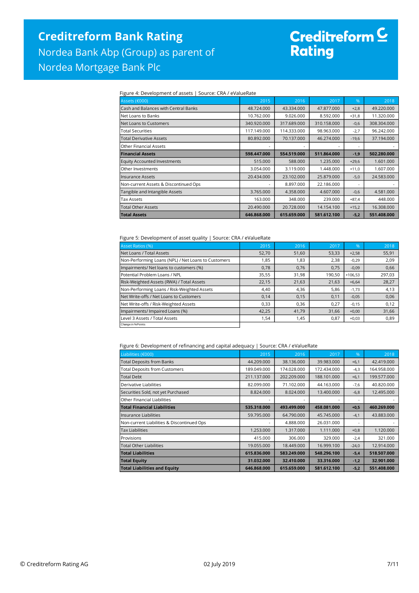# Creditreform <mark>C</mark><br>Rating

### Figure 4: Development of assets | Source: CRA / eValueRate

| Assets (€000)                         | 2015                     | 2016        | 2017        | %                        | 2018        |
|---------------------------------------|--------------------------|-------------|-------------|--------------------------|-------------|
| Cash and Balances with Central Banks  | 48.724.000               | 43.334.000  | 47.877.000  | $+2,8$                   | 49.220.000  |
| Net Loans to Banks                    | 10.762.000               | 9.026.000   | 8.592.000   | $+31,8$                  | 11.320.000  |
| Net Loans to Customers                | 340.920.000              | 317.689.000 | 310.158.000 | $-0,6$                   | 308.304.000 |
| lTotal Securities                     | 117.149.000              | 114.333.000 | 98.963.000  | $-2,7$                   | 96.242.000  |
| Total Derivative Assets               | 80.892.000               | 70.137.000  | 46.274.000  | $-19,6$                  | 37.194.000  |
| lOther Financial Assets               |                          |             |             | $\overline{\phantom{a}}$ |             |
| <b>Financial Assets</b>               | 598.447.000              | 554.519.000 | 511.864.000 | $-1,9$                   | 502.280.000 |
| Equity Accounted Investments          | 515.000                  | 588,000     | 1.235.000   | $+29,6$                  | 1.601.000   |
| Other Investments                     | 3.054.000                | 3.119.000   | 1.448.000   | $+11,0$                  | 1.607.000   |
| Insurance Assets                      | 20.434.000               | 23.102.000  | 25.879.000  | $-5,0$                   | 24.583.000  |
| Non-current Assets & Discontinued Ops | $\overline{\phantom{a}}$ | 8.897.000   | 22.186.000  | ٠                        |             |
| Tangible and Intangible Assets        | 3.765.000                | 4.358.000   | 4.607.000   | $-0,6$                   | 4.581.000   |
| Tax Assets                            | 163.000                  | 348,000     | 239.000     | $+87,4$                  | 448.000     |
| Total Other Assets                    | 20.490.000               | 20.728.000  | 14.154.100  | $+15,2$                  | 16.308.000  |
| <b>Total Assets</b>                   | 646.868.000              | 615.659.000 | 581.612.100 | $-5,2$                   | 551.408.000 |

#### Figure 5: Development of asset quality | Source: CRA / eValueRate

| - -                                                 |       |       |        |           |        |
|-----------------------------------------------------|-------|-------|--------|-----------|--------|
| <b>Asset Ratios (%)</b>                             | 2015  | 2016  | 2017   | %         | 2018   |
| Net Loans / Total Assets                            | 52,70 | 51,60 | 53,33  | $+2,58$   | 55,91  |
| Non-Performing Loans (NPL) / Net Loans to Customers | 1,85  | 1,83  | 2,38   | $-0,29$   | 2,09   |
| Impairments/ Net loans to customers (%)             | 0,78  | 0,76  | 0.75   | $-0,09$   | 0,66   |
| Potential Problem Loans / NPL                       | 35,55 | 31,98 | 190,50 | $+106,53$ | 297,03 |
| Risk-Weighted Assets (RWA) / Total Assets           | 22,15 | 21,63 | 21,63  | $+6,64$   | 28,27  |
| Non-Performing Loans / Risk-Weighted Assets         | 4,40  | 4,36  | 5,86   | $-1,73$   | 4,13   |
| Net Write-offs / Net Loans to Customers             | 0,14  | 0,15  | 0,11   | $-0,05$   | 0,06   |
| Net Write-offs / Risk-Weighted Assets               | 0,33  | 0,36  | 0,27   | $-0,15$   | 0,12   |
| Impairments/ Impaired Loans (%)                     | 42,25 | 41,79 | 31,66  | $+0,00$   | 31,66  |
| Level 3 Assets / Total Assets                       | 1,54  | 1,45  | 0,87   | $+0,03$   | 0,89   |
| Change in % Points                                  |       |       |        |           |        |

### Figure 6: Development of refinancing and capital adequacy | Source: CRA / eValueRate

| Liabilities (€000)                         | 2015        | 2016        | 2017        | $\%$    | 2018        |
|--------------------------------------------|-------------|-------------|-------------|---------|-------------|
| <b>Total Deposits from Banks</b>           | 44.209.000  | 38.136.000  | 39.983.000  | $+6,1$  | 42.419.000  |
| <b>Total Deposits from Customers</b>       | 189.049.000 | 174.028.000 | 172.434.000 | $-4,3$  | 164.958.000 |
| <b>Total Debt</b>                          | 211.137.000 | 202.209.000 | 188.101.000 | $+6,1$  | 199.577.000 |
| Derivative Liabilities                     | 82.099.000  | 71.102.000  | 44.163.000  | $-7,6$  | 40.820.000  |
| Securities Sold, not yet Purchased         | 8.824.000   | 8.024.000   | 13.400.000  | $-6,8$  | 12.495.000  |
| Other Financial Liabilities                |             |             |             |         |             |
| <b>Total Financial Liabilities</b>         | 535.318.000 | 493.499.000 | 458.081.000 | $+0,5$  | 460.269.000 |
| llnsurance Liabilities                     | 59.795.000  | 64.790.000  | 45.745.000  | $-4,1$  | 43.883.000  |
| Non-current Liabilities & Discontinued Ops | ٠           | 4.888.000   | 26.031.000  |         |             |
| <b>Tax Liabilities</b>                     | 1.253.000   | 1.317.000   | 1.111.000   | $+0,8$  | 1.120.000   |
| Provisions                                 | 415.000     | 306.000     | 329.000     | $-2,4$  | 321.000     |
| <b>Total Other Liabilities</b>             | 19.055.000  | 18,449,000  | 16.999.100  | $-24,0$ | 12.914.000  |
| <b>Total Liabilities</b>                   | 615.836.000 | 583.249.000 | 548.296.100 | $-5,4$  | 518.507.000 |
| <b>Total Equity</b>                        | 31.032.000  | 32.410.000  | 33.316.000  | $-1,2$  | 32.901.000  |
| <b>Total Liabilities and Equity</b>        | 646.868.000 | 615.659.000 | 581.612.100 | $-5,2$  | 551.408.000 |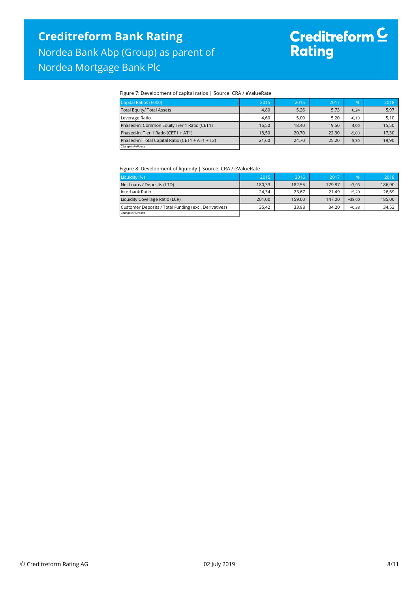# Creditreform <mark>C</mark><br>Rating

### Figure 7: Development of capital ratios | Source: CRA / eValueRate

| Capital Ratios (€000)                            | 2015  | 2016  | 2017  | $\%$    | 2018  |
|--------------------------------------------------|-------|-------|-------|---------|-------|
| <b>Total Equity/ Total Assets</b>                | 4,80  | 5,26  | 5,73  | $+0.24$ | 5,97  |
| Leverage Ratio                                   | 4,60  | 5,00  | 5,20  | $-0,10$ | 5,10  |
| Phased-in: Common Equity Tier 1 Ratio (CET1)     | 16,50 | 18.40 | 19.50 | $-4,00$ | 15.50 |
| Phased-in: Tier 1 Ratio (CET1 + AT1)             | 18,50 | 20,70 | 22,30 | $-5,00$ | 17,30 |
| Phased-in: Total Capital Ratio (CET1 + AT1 + T2) | 21.60 | 24.70 | 25.20 | $-5,30$ | 19.90 |
| Change in % Points                               |       |       |       |         |       |
|                                                  |       |       |       |         |       |

Figure 8: Development of liquidity | Source: CRA / eValueRate

| Liquidity (%)                                         | 2015   | 2016   | 2017   | %        | 2018   |
|-------------------------------------------------------|--------|--------|--------|----------|--------|
| Net Loans / Deposits (LTD)                            | 180.33 | 182,55 | 179.87 | $+7.03$  | 186.90 |
| Interbank Ratio                                       | 24.34  | 23.67  | 21.49  | $+5.20$  | 26.69  |
| Liquidity Coverage Ratio (LCR)                        | 201.00 | 159.00 | 147.00 | $+38.00$ | 185,00 |
| Customer Deposits / Total Funding (excl. Derivatives) | 35.42  | 33,98  | 34.20  | $+0.33$  | 34,53  |
| Change in % Points                                    |        |        |        |          |        |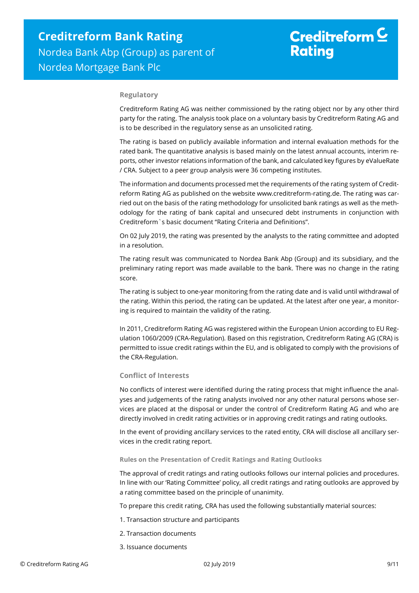## **Regulatory**

Creditreform Rating AG was neither commissioned by the rating object nor by any other third party for the rating. The analysis took place on a voluntary basis by Creditreform Rating AG and is to be described in the regulatory sense as an unsolicited rating.

The rating is based on publicly available information and internal evaluation methods for the rated bank. The quantitative analysis is based mainly on the latest annual accounts, interim reports, other investor relations information of the bank, and calculated key figures by eValueRate / CRA. Subject to a peer group analysis were 36 competing institutes.

The information and documents processed met the requirements of the rating system of Creditreform Rating AG as published on the website www.creditreform-rating.de. The rating was carried out on the basis of the rating methodology for unsolicited bank ratings as well as the methodology for the rating of bank capital and unsecured debt instruments in conjunction with Creditreform`s basic document "Rating Criteria and Definitions".

On 02 July 2019, the rating was presented by the analysts to the rating committee and adopted in a resolution.

The rating result was communicated to Nordea Bank Abp (Group) and its subsidiary, and the preliminary rating report was made available to the bank. There was no change in the rating score.

The rating is subject to one-year monitoring from the rating date and is valid until withdrawal of the rating. Within this period, the rating can be updated. At the latest after one year, a monitoring is required to maintain the validity of the rating.

In 2011, Creditreform Rating AG was registered within the European Union according to EU Regulation 1060/2009 (CRA-Regulation). Based on this registration, Creditreform Rating AG (CRA) is permitted to issue credit ratings within the EU, and is obligated to comply with the provisions of the CRA-Regulation.

## **Conflict of Interests**

No conflicts of interest were identified during the rating process that might influence the analyses and judgements of the rating analysts involved nor any other natural persons whose services are placed at the disposal or under the control of Creditreform Rating AG and who are directly involved in credit rating activities or in approving credit ratings and rating outlooks.

In the event of providing ancillary services to the rated entity, CRA will disclose all ancillary services in the credit rating report.

### **Rules on the Presentation of Credit Ratings and Rating Outlooks**

The approval of credit ratings and rating outlooks follows our internal policies and procedures. In line with our 'Rating Committee' policy, all credit ratings and rating outlooks are approved by a rating committee based on the principle of unanimity.

To prepare this credit rating, CRA has used the following substantially material sources:

- 1. Transaction structure and participants
- 2. Transaction documents
- 3. Issuance documents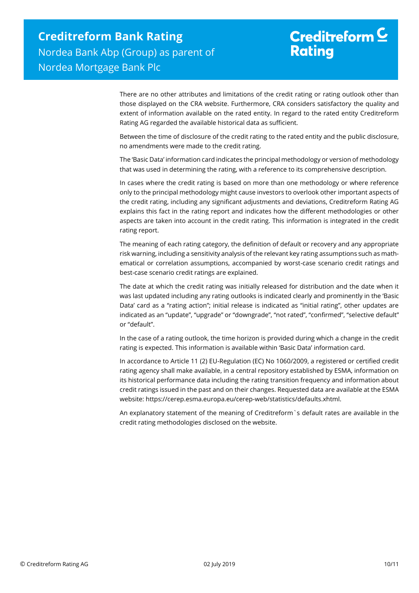There are no other attributes and limitations of the credit rating or rating outlook other than those displayed on the CRA website. Furthermore, CRA considers satisfactory the quality and extent of information available on the rated entity. In regard to the rated entity Creditreform Rating AG regarded the available historical data as sufficient.

Between the time of disclosure of the credit rating to the rated entity and the public disclosure, no amendments were made to the credit rating.

The 'Basic Data' information card indicates the principal methodology or version of methodology that was used in determining the rating, with a reference to its comprehensive description.

In cases where the credit rating is based on more than one methodology or where reference only to the principal methodology might cause investors to overlook other important aspects of the credit rating, including any significant adjustments and deviations, Creditreform Rating AG explains this fact in the rating report and indicates how the different methodologies or other aspects are taken into account in the credit rating. This information is integrated in the credit rating report.

The meaning of each rating category, the definition of default or recovery and any appropriate risk warning, including a sensitivity analysis of the relevant key rating assumptions such as mathematical or correlation assumptions, accompanied by worst-case scenario credit ratings and best-case scenario credit ratings are explained.

The date at which the credit rating was initially released for distribution and the date when it was last updated including any rating outlooks is indicated clearly and prominently in the 'Basic Data' card as a "rating action"; initial release is indicated as "initial rating", other updates are indicated as an "update", "upgrade" or "downgrade", "not rated", "confirmed", "selective default" or "default".

In the case of a rating outlook, the time horizon is provided during which a change in the credit rating is expected. This information is available within 'Basic Data' information card.

In accordance to Article 11 (2) EU-Regulation (EC) No 1060/2009, a registered or certified credit rating agency shall make available, in a central repository established by ESMA, information on its historical performance data including the rating transition frequency and information about credit ratings issued in the past and on their changes. Requested data are available at the ESMA website: https://cerep.esma.europa.eu/cerep-web/statistics/defaults.xhtml.

An explanatory statement of the meaning of Creditreform`s default rates are available in the credit rating methodologies disclosed on the website.